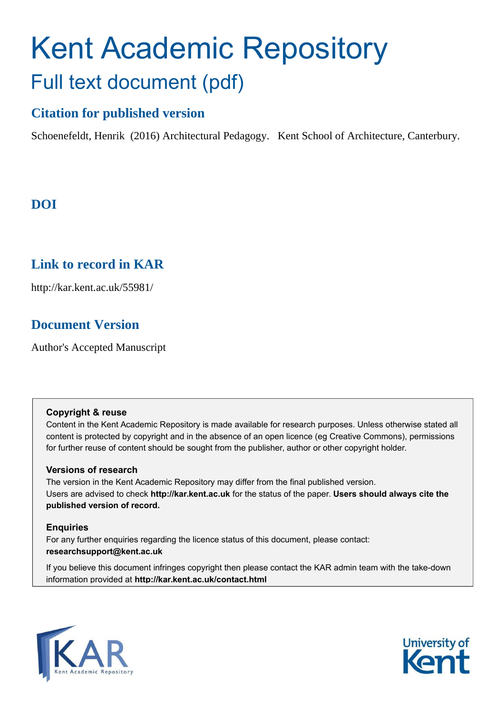## Kent Academic Repository Full text document (pdf)

#### **Citation for published version**

Schoenefeldt, Henrik (2016) Architectural Pedagogy. Kent School of Architecture, Canterbury.

## **DOI**

## **Link to record in KAR**

http://kar.kent.ac.uk/55981/

## **Document Version**

Author's Accepted Manuscript

#### **Copyright & reuse**

Content in the Kent Academic Repository is made available for research purposes. Unless otherwise stated all content is protected by copyright and in the absence of an open licence (eg Creative Commons), permissions for further reuse of content should be sought from the publisher, author or other copyright holder.

#### **Versions of research**

The version in the Kent Academic Repository may differ from the final published version. Users are advised to check **http://kar.kent.ac.uk** for the status of the paper. **Users should always cite the published version of record.**

#### **Enquiries**

For any further enquiries regarding the licence status of this document, please contact: **researchsupport@kent.ac.uk**

If you believe this document infringes copyright then please contact the KAR admin team with the take-down information provided at **http://kar.kent.ac.uk/contact.html**



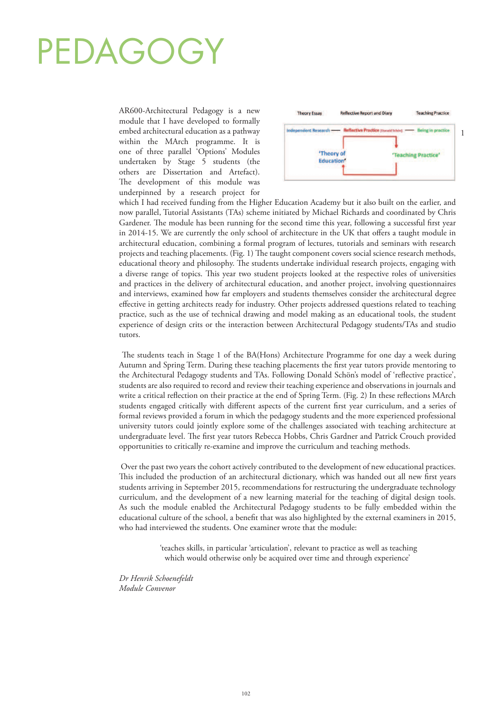# PEDAGOGY

AR600-Architectural Pedagogy is a new module that I have developed to formally embed architectural education as a pathway within the MArch programme. It is one of three parallel 'Options' Modules undertaken by Stage 5 students (the others are Dissertation and Artefact). The development of this module was underpinned by a research project for



which I had received funding from the Higher Education Academy but it also built on the earlier, and now parallel, Tutorial Assistants (TAs) scheme initiated by Michael Richards and coordinated by Chris Gardener. The module has been running for the second time this year, following a successful first year in 2014-15. We are currently the only school of architecture in the UK that offers a taught module in architectural education, combining a formal program of lectures, tutorials and seminars with research projects and teaching placements. (Fig. 1) The taught component covers social science research methods, educational theory and philosophy. The students undertake individual research projects, engaging with a diverse range of topics. This year two student projects looked at the respective roles of universities and practices in the delivery of architectural education, and another project, involving questionnaires and interviews, examined how far employers and students themselves consider the architectural degree effective in getting architects ready for industry. Other projects addressed questions related to teaching practice, such as the use of technical drawing and model making as an educational tools, the student experience of design crits or the interaction between Architectural Pedagogy students/TAs and studio tutors.

The students teach in Stage 1 of the BA(Hons) Architecture Programme for one day a week during Autumn and Spring Term. During these teaching placements the first year tutors provide mentoring to the Architectural Pedagogy students and TAs. Following Donald Schön's model of 'reflective practice', students are also required to record and review their teaching experience and observations in journals and write a critical reflection on their practice at the end of Spring Term. (Fig. 2) In these reflections MArch students engaged critically with different aspects of the current first year curriculum, and a series of formal reviews provided a forum in which the pedagogy students and the more experienced professional university tutors could jointly explore some of the challenges associated with teaching architecture at undergraduate level. The first year tutors Rebecca Hobbs, Chris Gardner and Patrick Crouch provided opportunities to critically re-examine and improve the curriculum and teaching methods.

 Over the past two years the cohort actively contributed to the development of new educational practices. This included the production of an architectural dictionary, which was handed out all new first years students arriving in September 2015, recommendations for restructuring the undergraduate technology curriculum, and the development of a new learning material for the teaching of digital design tools. As such the module enabled the Architectural Pedagogy students to be fully embedded within the educational culture of the school, a benefit that was also highlighted by the external examiners in 2015, who had interviewed the students. One examiner wrote that the module:

> 'teaches skills, in particular 'articulation', relevant to practice as well as teaching which would otherwise only be acquired over time and through experience'

*Dr Henrik Schoenefeldt Module Convenor*